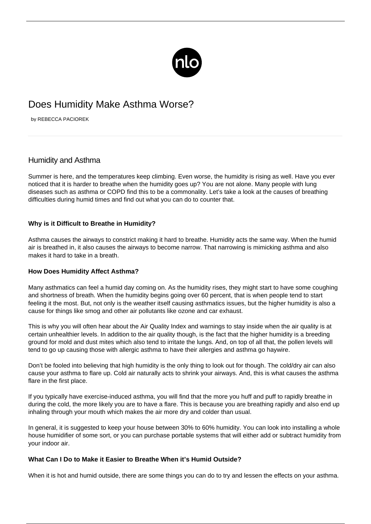

# Does Humidity Make Asthma Worse?

by REBECCA PACIOREK

# Humidity and Asthma

Summer is here, and the temperatures keep climbing. Even worse, the humidity is rising as well. Have you ever noticed that it is harder to breathe when the humidity goes up? You are not alone. Many people with lung diseases such as [asthma](/what-is-asthma/) or [COPD](https://copd.newlifeoutlook.com/what-is-copd/) find this to be a commonality. Let's take a look at the causes of breathing difficulties during humid times and find out what you can do to counter that.

## **Why is it Difficult to Breathe in Humidity?**

Asthma causes the airways to constrict making it hard to breathe. Humidity acts the same way. When the humid air is breathed in, it also causes the airways to become narrow. That narrowing is mimicking asthma and also makes it hard to take in a breath.

### **How Does Humidity Affect Asthma?**

Many asthmatics can feel a humid day coming on. As the humidity rises, they might start to have some coughing and shortness of breath. When the humidity begins going over 60 percent, that is when people tend to start feeling it the most. But, not only is the weather itself causing asthmatics issues, but the higher humidity is also a cause for things like smog and other air pollutants like ozone and car exhaust.

This is why you will often hear about the Air Quality Index and warnings to stay inside when the air quality is at certain unhealthier levels. In addition to the air quality though, is the fact that the higher humidity is a breeding ground for mold and dust mites which also tend to irritate the lungs. And, on top of all that, the pollen levels will tend to go up causing those with allergic asthma to have their allergies and asthma go haywire.

Don't be fooled into believing that high humidity is the only thing to look out for though. The cold/dry air can also cause your asthma to flare up. Cold air naturally acts to shrink your airways. And, this is what causes the asthma flare in the first place.

If you typically have exercise-induced asthma, you will find that the more you huff and puff to rapidly breathe in during the cold, the more likely you are to have a flare. This is because you are breathing rapidly and also end up inhaling through your mouth which makes the air more dry and colder than usual.

In general, it is suggested to keep your house between 30% to 60% humidity. You can look into installing a whole house humidifier of some sort, or you can purchase portable systems that will either add or subtract humidity from your indoor air.

### **What Can I Do to Make it Easier to Breathe When it's Humid Outside?**

When it is hot and humid outside, there are some things you can do to try and lessen the effects on your asthma.